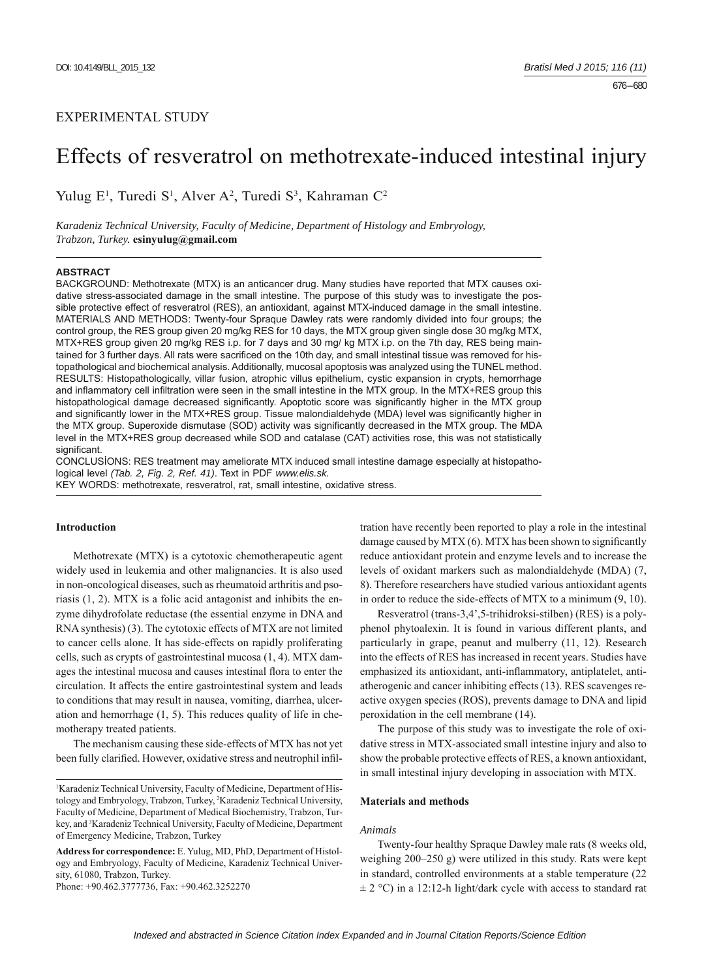# EXPERIMENTAL STUDY

# Effects of resveratrol on methotrexate-induced intestinal injury

Yulug E<sup>1</sup>, Turedi S<sup>1</sup>, Alver A<sup>2</sup>, Turedi S<sup>3</sup>, Kahraman C<sup>2</sup>

*Karadeniz Technical University, Faculty of Medicine, Department of Histology and Embryology, Trabzon, Turkey.* **esinyulug@gmail.com**

## **ABSTRACT**

BACKGROUND: Methotrexate (MTX) is an anticancer drug. Many studies have reported that MTX causes oxidative stress-associated damage in the small intestine. The purpose of this study was to investigate the possible protective effect of resveratrol (RES), an antioxidant, against MTX-induced damage in the small intestine. MATERIALS AND METHODS: Twenty-four Spraque Dawley rats were randomly divided into four groups; the control group, the RES group given 20 mg/kg RES for 10 days, the MTX group given single dose 30 mg/kg MTX, MTX+RES group given 20 mg/kg RES i.p. for 7 days and 30 mg/ kg MTX i.p. on the 7th day, RES being maintained for 3 further days. All rats were sacrificed on the 10th day, and small intestinal tissue was removed for histopathological and biochemical analysis. Additionally, mucosal apoptosis was analyzed using the TUNEL method. RESULTS: Histopathologically, villar fusion, atrophic villus epithelium, cystic expansion in crypts, hemorrhage and inflammatory cell infiltration were seen in the small intestine in the MTX group. In the MTX+RES group this histopathological damage decreased significantly. Apoptotic score was significantly higher in the MTX group and significantly lower in the MTX+RES group. Tissue malondialdehyde (MDA) level was significantly higher in the MTX group. Superoxide dismutase (SOD) activity was significantly decreased in the MTX group. The MDA level in the MTX+RES group decreased while SOD and catalase (CAT) activities rose, this was not statistically significant.

CONCLUSİONS: RES treatment may ameliorate MTX induced small intestine damage especially at histopathological level *(Tab. 2, Fig. 2, Ref. 41)*. Text in PDF *www.elis.sk.*

KEY WORDS: methotrexate, resveratrol, rat, small intestine, oxidative stress.

## **Introduction**

Methotrexate (MTX) is a cytotoxic chemotherapeutic agent widely used in leukemia and other malignancies. It is also used in non-oncological diseases, such as rheumatoid arthritis and psoriasis (1, 2). MTX is a folic acid antagonist and inhibits the enzyme dihydrofolate reductase (the essential enzyme in DNA and RNA synthesis) (3). The cytotoxic effects of MTX are not limited to cancer cells alone. It has side-effects on rapidly proliferating cells, such as crypts of gastrointestinal mucosa (1, 4). MTX damages the intestinal mucosa and causes intestinal flora to enter the circulation. It affects the entire gastrointestinal system and leads to conditions that may result in nausea, vomiting, diarrhea, ulceration and hemorrhage (1, 5). This reduces quality of life in chemotherapy treated patients.

The mechanism causing these side-effects of MTX has not yet been fully clarified. However, oxidative stress and neutrophil infil-

Phone: +90.462.3777736, Fax: +90.462.3252270

tration have recently been reported to play a role in the intestinal damage caused by MTX  $(6)$ . MTX has been shown to significantly reduce antioxidant protein and enzyme levels and to increase the levels of oxidant markers such as malondialdehyde (MDA) (7, 8). Therefore researchers have studied various antioxidant agents in order to reduce the side-effects of MTX to a minimum (9, 10).

Resveratrol (trans-3,4',5-trihidroksi-stilben) (RES) is a polyphenol phytoalexin. It is found in various different plants, and particularly in grape, peanut and mulberry (11, 12). Research into the effects of RES has increased in recent years. Studies have emphasized its antioxidant, anti-inflammatory, antiplatelet, antiatherogenic and cancer inhibiting effects (13). RES scavenges reactive oxygen species (ROS), prevents damage to DNA and lipid peroxidation in the cell membrane (14).

The purpose of this study was to investigate the role of oxidative stress in MTX-associated small intestine injury and also to show the probable protective effects of RES, a known antioxidant, in small intestinal injury developing in association with MTX.

#### **Materials and methods**

### *Animals*

Twenty-four healthy Spraque Dawley male rats (8 weeks old, weighing 200–250 g) were utilized in this study. Rats were kept in standard, controlled environments at a stable temperature (22  $\pm$  2 °C) in a 12:12-h light/dark cycle with access to standard rat

<sup>&</sup>lt;sup>1</sup>Karadeniz Technical University, Faculty of Medicine, Department of Histology and Embryology, Trabzon, Turkey, 2 Karadeniz Technical University, Faculty of Medicine, Department of Medical Biochemistry, Trabzon, Turkey, and 3 Karadeniz Technical University, Faculty of Medicine, Department of Emergency Medicine, Trabzon, Turkey

**Address for correspondence:** E. Yulug, MD, PhD, Department of Histology and Embryology, Faculty of Medicine, Karadeniz Technical University, 61080, Trabzon, Turkey.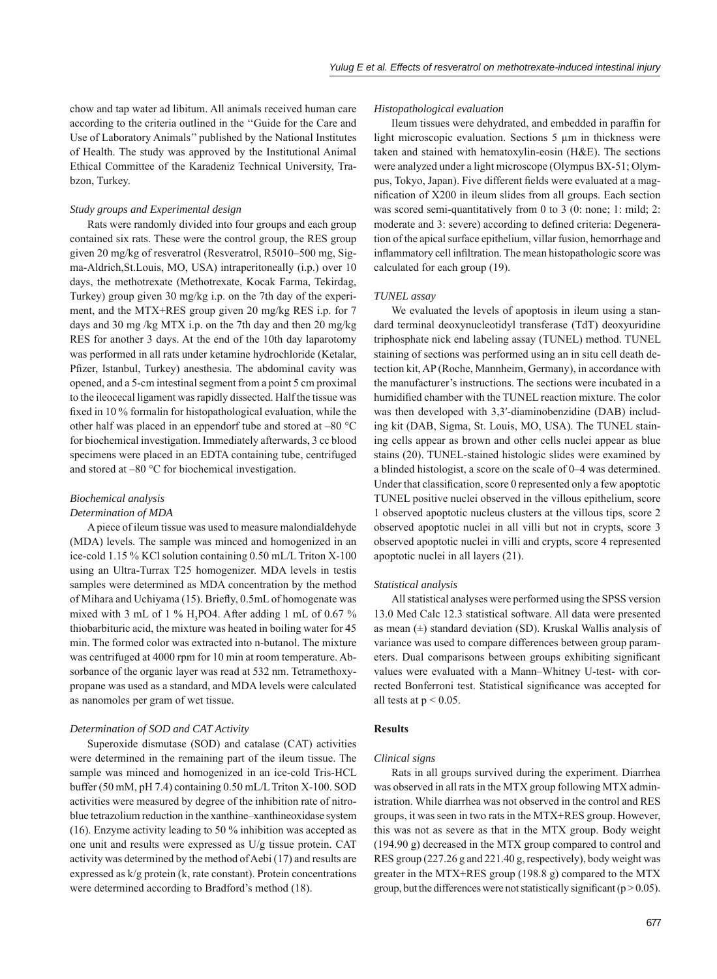chow and tap water ad libitum. All animals received human care according to the criteria outlined in the ''Guide for the Care and Use of Laboratory Animals'' published by the National Institutes of Health. The study was approved by the Institutional Animal Ethical Committee of the Karadeniz Technical University, Trabzon, Turkey.

### *Study groups and Experimental design*

Rats were randomly divided into four groups and each group contained six rats. These were the control group, the RES group given 20 mg/kg of resveratrol (Resveratrol, R5010–500 mg, Sigma-Aldrich,St.Louis, MO, USA) intraperitoneally (i.p.) over 10 days, the methotrexate (Methotrexate, Kocak Farma, Tekirdag, Turkey) group given 30 mg/kg i.p. on the 7th day of the experiment, and the MTX+RES group given 20 mg/kg RES i.p. for 7 days and 30 mg /kg MTX i.p. on the 7th day and then 20 mg/kg RES for another 3 days. At the end of the 10th day laparotomy was performed in all rats under ketamine hydrochloride (Ketalar, Pfizer, Istanbul, Turkey) anesthesia. The abdominal cavity was opened, and a 5-cm intestinal segment from a point 5 cm proximal to the ileocecal ligament was rapidly dissected. Half the tissue was fixed in 10 % formal in for histopathological evaluation, while the other half was placed in an eppendorf tube and stored at –80 °C for biochemical investigation. Immediately afterwards, 3 cc blood specimens were placed in an EDTA containing tube, centrifuged and stored at –80 °C for biochemical investigation.

## *Biochemical analysis*

## *Determination of MDA*

A piece of ileum tissue was used to measure malondialdehyde (MDA) levels. The sample was minced and homogenized in an ice-cold 1.15 % KCl solution containing 0.50 mL/L Triton X-100 using an Ultra-Turrax T25 homogenizer. MDA levels in testis samples were determined as MDA concentration by the method of Mihara and Uchiyama (15). Briefly, 0.5mL of homogenate was mixed with 3 mL of 1 %  $H_3$ PO4. After adding 1 mL of 0.67 % thiobarbituric acid, the mixture was heated in boiling water for 45 min. The formed color was extracted into n-butanol. The mixture was centrifuged at 4000 rpm for 10 min at room temperature. Absorbance of the organic layer was read at 532 nm. Tetramethoxypropane was used as a standard, and MDA levels were calculated as nanomoles per gram of wet tissue.

#### *Determination of SOD and CAT Activity*

Superoxide dismutase (SOD) and catalase (CAT) activities were determined in the remaining part of the ileum tissue. The sample was minced and homogenized in an ice-cold Tris-HCL buffer (50 mM, pH 7.4) containing 0.50 mL/L Triton X-100. SOD activities were measured by degree of the inhibition rate of nitroblue tetrazolium reduction in the xanthine–xanthineoxidase system (16). Enzyme activity leading to 50 % inhibition was accepted as one unit and results were expressed as U/g tissue protein. CAT activity was determined by the method of Aebi (17) and results are expressed as k/g protein (k, rate constant). Protein concentrations were determined according to Bradford's method (18).

### *Histopathological evaluation*

Ileum tissues were dehydrated, and embedded in paraffin for light microscopic evaluation. Sections 5 μm in thickness were taken and stained with hematoxylin-eosin (H&E). The sections were analyzed under a light microscope (Olympus BX-51; Olympus, Tokyo, Japan). Five different fields were evaluated at a magnification of X200 in ileum slides from all groups. Each section was scored semi-quantitatively from 0 to 3 (0: none; 1: mild; 2: moderate and 3: severe) according to defined criteria: Degeneration of the apical surface epithelium, villar fusion, hemorrhage and inflammatory cell infiltration. The mean histopathologic score was calculated for each group (19).

#### *TUNEL assay*

We evaluated the levels of apoptosis in ileum using a standard terminal deoxynucleotidyl transferase (TdT) deoxyuridine triphosphate nick end labeling assay (TUNEL) method. TUNEL staining of sections was performed using an in situ cell death detection kit, AP (Roche, Mannheim, Germany), in accordance with the manufacturer's instructions. The sections were incubated in a humidified chamber with the TUNEL reaction mixture. The color was then developed with 3,3'-diaminobenzidine (DAB) including kit (DAB, Sigma, St. Louis, MO, USA). The TUNEL staining cells appear as brown and other cells nuclei appear as blue stains (20). TUNEL-stained histologic slides were examined by a blinded histologist, a score on the scale of 0–4 was determined. Under that classification, score 0 represented only a few apoptotic TUNEL positive nuclei observed in the villous epithelium, score 1 observed apoptotic nucleus clusters at the villous tips, score 2 observed apoptotic nuclei in all villi but not in crypts, score 3 observed apoptotic nuclei in villi and crypts, score 4 represented apoptotic nuclei in all layers (21).

#### *Statistical analysis*

All statistical analyses were performed using the SPSS version 13.0 Med Calc 12.3 statistical software. All data were presented as mean  $(\pm)$  standard deviation (SD). Kruskal Wallis analysis of variance was used to compare differences between group parameters. Dual comparisons between groups exhibiting significant values were evaluated with a Mann–Whitney U-test- with corrected Bonferroni test. Statistical significance was accepted for all tests at  $p < 0.05$ .

## **Results**

#### *Clinical signs*

Rats in all groups survived during the experiment. Diarrhea was observed in all rats in the MTX group following MTX administration. While diarrhea was not observed in the control and RES groups, it was seen in two rats in the MTX+RES group. However, this was not as severe as that in the MTX group. Body weight (194.90 g) decreased in the MTX group compared to control and RES group (227.26 g and 221.40 g, respectively), body weight was greater in the MTX+RES group (198.8 g) compared to the MTX group, but the differences were not statistically significant ( $p > 0.05$ ).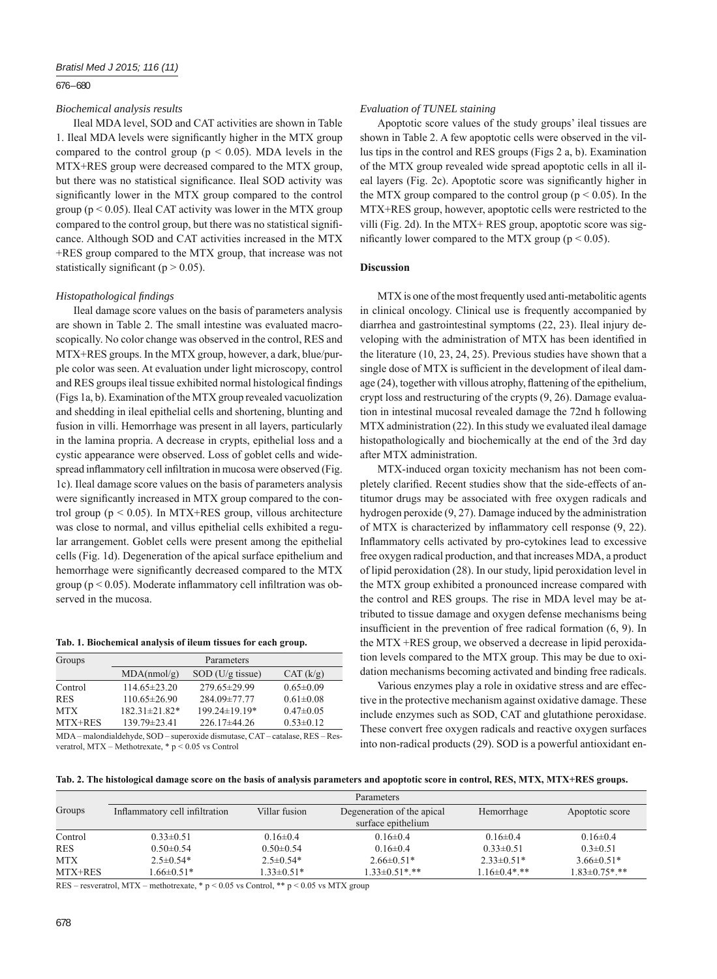## 676 – 680

## *Biochemical analysis results*

Ileal MDA level, SOD and CAT activities are shown in Table 1. Ileal MDA levels were significantly higher in the MTX group compared to the control group ( $p < 0.05$ ). MDA levels in the MTX+RES group were decreased compared to the MTX group, but there was no statistical significance. Ileal SOD activity was significantly lower in the MTX group compared to the control group ( $p < 0.05$ ). Ileal CAT activity was lower in the MTX group compared to the control group, but there was no statistical significance. Although SOD and CAT activities increased in the MTX +RES group compared to the MTX group, that increase was not statistically significant ( $p > 0.05$ ).

#### *Histopathological fi ndings*

Ileal damage score values on the basis of parameters analysis are shown in Table 2. The small intestine was evaluated macroscopically. No color change was observed in the control, RES and MTX+RES groups. In the MTX group, however, a dark, blue/purple color was seen. At evaluation under light microscopy, control and RES groups ileal tissue exhibited normal histological findings (Figs 1a, b). Examination of the MTX group revealed vacuolization and shedding in ileal epithelial cells and shortening, blunting and fusion in villi. Hemorrhage was present in all layers, particularly in the lamina propria. A decrease in crypts, epithelial loss and a cystic appearance were observed. Loss of goblet cells and widespread inflammatory cell infiltration in mucosa were observed (Fig. 1c). Ileal damage score values on the basis of parameters analysis were significantly increased in MTX group compared to the control group ( $p \le 0.05$ ). In MTX+RES group, villous architecture was close to normal, and villus epithelial cells exhibited a regular arrangement. Goblet cells were present among the epithelial cells (Fig. 1d). Degeneration of the apical surface epithelium and hemorrhage were significantly decreased compared to the MTX group ( $p < 0.05$ ). Moderate inflammatory cell infiltration was observed in the mucosa.

#### **Tab. 1. Biochemical analysis of ileum tissues for each group.**

| Groups     | Parameters          |                     |                 |  |  |
|------------|---------------------|---------------------|-----------------|--|--|
|            | MDA(nmol/g)         | $SOD$ (U/g tissue)  | CAT (k/g)       |  |  |
| Control    | $114.65 \pm 23.20$  | 279.65±29.99        | $0.65 \pm 0.09$ |  |  |
| <b>RES</b> | $110.65 \pm 26.90$  | 284.09±77.77        | $0.61 \pm 0.08$ |  |  |
| <b>MTX</b> | $182.31 \pm 21.82*$ | $199.24 \pm 19.19*$ | $0.47 \pm 0.05$ |  |  |
| MTX+RES    | $139.79\pm23.41$    | $226.17\pm44.26$    | $0.53 \pm 0.12$ |  |  |

MDA – malondialdehyde, SOD – superoxide dismutase, CAT – catalase, RES – Resveratrol, MTX – Methotrexate, \* p ˂ 0.05 vs Control

#### *Evaluation of TUNEL staining*

Apoptotic score values of the study groups' ileal tissues are shown in Table 2. A few apoptotic cells were observed in the villus tips in the control and RES groups (Figs 2 a, b). Examination of the MTX group revealed wide spread apoptotic cells in all ileal layers (Fig. 2c). Apoptotic score was significantly higher in the MTX group compared to the control group ( $p < 0.05$ ). In the MTX+RES group, however, apoptotic cells were restricted to the villi (Fig. 2d). In the MTX+ RES group, apoptotic score was significantly lower compared to the MTX group ( $p \le 0.05$ ).

## **Discussion**

MTX is one of the most frequently used anti-metabolitic agents in clinical oncology. Clinical use is frequently accompanied by diarrhea and gastrointestinal symptoms (22, 23). Ileal injury developing with the administration of MTX has been identified in the literature (10, 23, 24, 25). Previous studies have shown that a single dose of MTX is sufficient in the development of ileal damage  $(24)$ , together with villous atrophy, flattening of the epithelium, crypt loss and restructuring of the crypts (9, 26). Damage evaluation in intestinal mucosal revealed damage the 72nd h following MTX administration (22). In this study we evaluated ileal damage histopathologically and biochemically at the end of the 3rd day after MTX administration.

MTX-induced organ toxicity mechanism has not been completely clarified. Recent studies show that the side-effects of antitumor drugs may be associated with free oxygen radicals and hydrogen peroxide (9, 27). Damage induced by the administration of MTX is characterized by inflammatory cell response  $(9, 22)$ . Inflammatory cells activated by pro-cytokines lead to excessive free oxygen radical production, and that increases MDA, a product of lipid peroxidation (28). In our study, lipid peroxidation level in the MTX group exhibited a pronounced increase compared with the control and RES groups. The rise in MDA level may be attributed to tissue damage and oxygen defense mechanisms being insufficient in the prevention of free radical formation  $(6, 9)$ . In the MTX +RES group, we observed a decrease in lipid peroxidation levels compared to the MTX group. This may be due to oxidation mechanisms becoming activated and binding free radicals.

Various enzymes play a role in oxidative stress and are effective in the protective mechanism against oxidative damage. These include enzymes such as SOD, CAT and glutathione peroxidase. These convert free oxygen radicals and reactive oxygen surfaces into non-radical products (29). SOD is a powerful antioxidant en-

|  |  | Tab. 2. The histological damage score on the basis of analysis parameters and apoptotic score in control, RES, MTX, MTX+RES groups. |  |
|--|--|-------------------------------------------------------------------------------------------------------------------------------------|--|
|  |  |                                                                                                                                     |  |

|            | <b>Parameters</b>              |                  |                            |                  |                     |  |
|------------|--------------------------------|------------------|----------------------------|------------------|---------------------|--|
| Groups     | Inflammatory cell infiltration | Villar fusion    | Degeneration of the apical | Hemorrhage       | Apoptotic score     |  |
|            |                                |                  | surface epithelium         |                  |                     |  |
| Control    | $0.33 \pm 0.51$                | $0.16 \pm 0.4$   | $0.16 \pm 0.4$             | $0.16 \pm 0.4$   | $0.16 \pm 0.4$      |  |
| <b>RES</b> | $0.50 \pm 0.54$                | $0.50 \pm 0.54$  | $0.16 \pm 0.4$             | $0.33 \pm 0.51$  | $0.3 \pm 0.51$      |  |
| <b>MTX</b> | $2.5 \pm 0.54*$                | $2.5 \pm 0.54*$  | $2.66\pm0.51*$             | $2.33\pm0.51*$   | $3.66\pm0.51*$      |  |
| MTX+RES    | $1.66 \pm 0.51*$               | $1.33 \pm 0.51*$ | $1.33 \pm 0.51$ ***        | $1.16\pm0.4$ *** | $1.83 \pm 0.75$ *** |  |

RES – resveratrol, MTX – methotrexate,  $* p < 0.05$  vs Control,  $** p < 0.05$  vs MTX group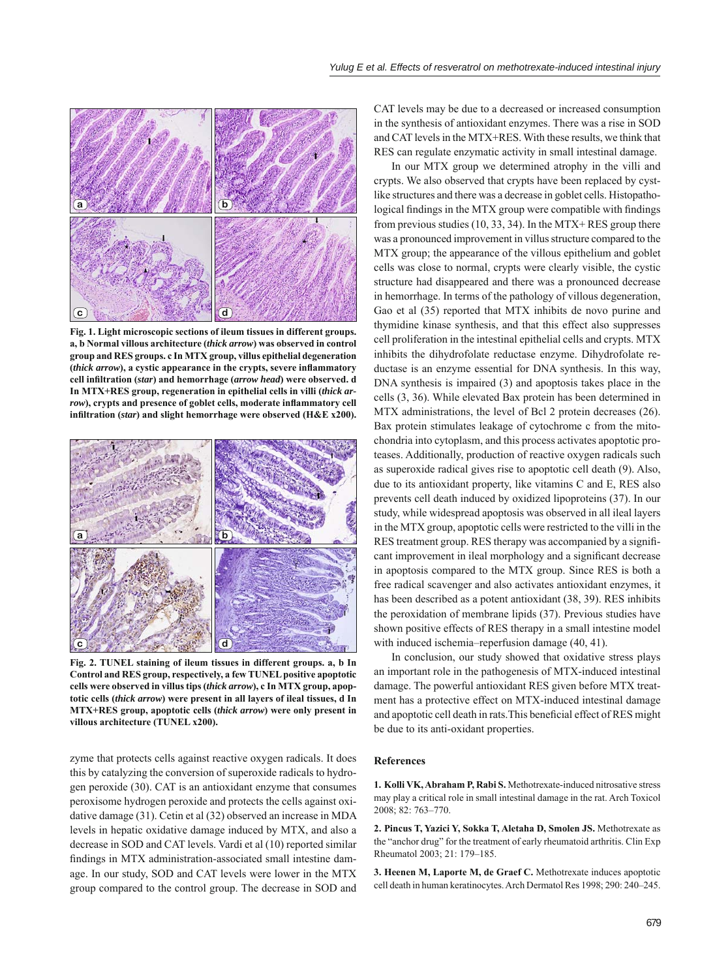

**Fig. 1. Light microscopic sections of ileum tissues in different groups. a, b Normal villous architecture (***thick arrow***) was observed in control group and RES groups. c In MTX group, villus epithelial degeneration**  (*thick arrow*), a cystic appearance in the crypts, severe inflammatory **cell infi ltration (***star***) and hemorrhage (***arrow head***) were observed. d In MTX+RES group, regeneration in epithelial cells in villi (***thick ar*row), crypts and presence of goblet cells, moderate inflammatory cell infiltration (*star*) and slight hemorrhage were observed (H&E x200).



**Fig. 2. TUNEL staining of ileum tissues in different groups. a, b In Control and RES group, respectively, a few TUNEL positive apoptotic cells were observed in villus tips (***thick arrow***), c In MTX group, apoptotic cells (***thick arrow***) were present in all layers of ileal tissues, d In MTX+RES group, apoptotic cells (***thick arrow***) were only present in villous architecture (TUNEL x200).**

zyme that protects cells against reactive oxygen radicals. It does this by catalyzing the conversion of superoxide radicals to hydrogen peroxide (30). CAT is an antioxidant enzyme that consumes peroxisome hydrogen peroxide and protects the cells against oxidative damage (31). Cetin et al (32) observed an increase in MDA levels in hepatic oxidative damage induced by MTX, and also a decrease in SOD and CAT levels. Vardi et al (10) reported similar findings in MTX administration-associated small intestine damage. In our study, SOD and CAT levels were lower in the MTX group compared to the control group. The decrease in SOD and

CAT levels may be due to a decreased or increased consumption in the synthesis of antioxidant enzymes. There was a rise in SOD and CAT levels in the MTX+RES. With these results, we think that RES can regulate enzymatic activity in small intestinal damage.

In our MTX group we determined atrophy in the villi and crypts. We also observed that crypts have been replaced by cystlike structures and there was a decrease in goblet cells. Histopathological findings in the MTX group were compatible with findings from previous studies (10, 33, 34). In the MTX+ RES group there was a pronounced improvement in villus structure compared to the MTX group; the appearance of the villous epithelium and goblet cells was close to normal, crypts were clearly visible, the cystic structure had disappeared and there was a pronounced decrease in hemorrhage. In terms of the pathology of villous degeneration, Gao et al (35) reported that MTX inhibits de novo purine and thymidine kinase synthesis, and that this effect also suppresses cell proliferation in the intestinal epithelial cells and crypts. MTX inhibits the dihydrofolate reductase enzyme. Dihydrofolate reductase is an enzyme essential for DNA synthesis. In this way, DNA synthesis is impaired (3) and apoptosis takes place in the cells (3, 36). While elevated Bax protein has been determined in MTX administrations, the level of Bcl 2 protein decreases (26). Bax protein stimulates leakage of cytochrome c from the mitochondria into cytoplasm, and this process activates apoptotic proteases. Additionally, production of reactive oxygen radicals such as superoxide radical gives rise to apoptotic cell death (9). Also, due to its antioxidant property, like vitamins C and E, RES also prevents cell death induced by oxidized lipoproteins (37). In our study, while widespread apoptosis was observed in all ileal layers in the MTX group, apoptotic cells were restricted to the villi in the RES treatment group. RES therapy was accompanied by a significant improvement in ileal morphology and a significant decrease in apoptosis compared to the MTX group. Since RES is both a free radical scavenger and also activates antioxidant enzymes, it has been described as a potent antioxidant (38, 39). RES inhibits the peroxidation of membrane lipids (37). Previous studies have shown positive effects of RES therapy in a small intestine model with induced ischemia–reperfusion damage (40, 41).

In conclusion, our study showed that oxidative stress plays an important role in the pathogenesis of MTX-induced intestinal damage. The powerful antioxidant RES given before MTX treatment has a protective effect on MTX-induced intestinal damage and apoptotic cell death in rats. This beneficial effect of RES might be due to its anti-oxidant properties.

### **References**

**1. Kolli VK, Abraham P, Rabi S.** Methotrexate-induced nitrosative stress may play a critical role in small intestinal damage in the rat. Arch Toxicol 2008; 82: 763–770.

**2. Pincus T, Yazici Y, Sokka T, Aletaha D, Smolen JS.** Methotrexate as the "anchor drug" for the treatment of early rheumatoid arthritis. Clin Exp Rheumatol 2003; 21: 179–185.

**3. Heenen M, Laporte M, de Graef C.** Methotrexate induces apoptotic cell death in human keratinocytes. Arch Dermatol Res 1998; 290: 240–245.